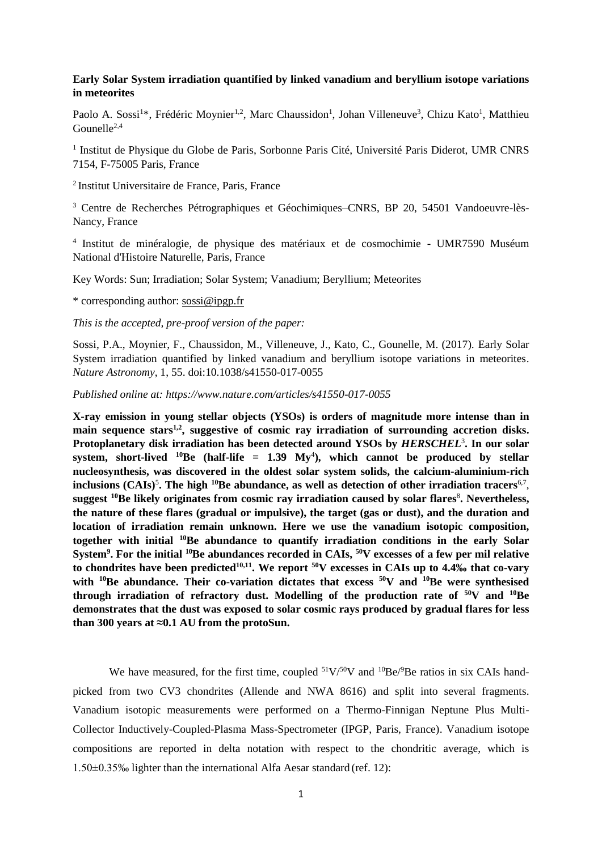## **Early Solar System irradiation quantified by linked vanadium and beryllium isotope variations in meteorites**

Paolo A. Sossi<sup>1\*</sup>, Frédéric Moynier<sup>1,2</sup>, Marc Chaussidon<sup>1</sup>, Johan Villeneuve<sup>3</sup>, Chizu Kato<sup>1</sup>, Matthieu Gounelle<sup>2,4</sup>

<sup>1</sup> Institut de Physique du Globe de Paris, Sorbonne Paris Cité, Université Paris Diderot, UMR CNRS 7154, F-75005 Paris, France

2 Institut Universitaire de France, Paris, France

<sup>3</sup> Centre de Recherches Pétrographiques et Géochimiques–CNRS, BP 20, 54501 Vandoeuvre-lès-Nancy, France

4 Institut de minéralogie, de physique des matériaux et de cosmochimie - UMR7590 Muséum National d'Histoire Naturelle, Paris, France

Key Words: Sun; Irradiation; Solar System; Vanadium; Beryllium; Meteorites

\* corresponding author: [sossi@ipgp.fr](mailto:sossi@ipgp.fr)

*This is the accepted, pre-proof version of the paper:*

Sossi, P.A., Moynier, F., Chaussidon, M., Villeneuve, J., Kato, C., Gounelle, M. (2017). Early Solar System irradiation quantified by linked vanadium and beryllium isotope variations in meteorites. *Nature Astronomy*, 1, 55. doi:10.1038/s41550-017-0055

*Published online at: https://www.nature.com/articles/s41550-017-0055*

**X-ray emission in young stellar objects (YSOs) is orders of magnitude more intense than in main sequence stars1,2 , suggestive of cosmic ray irradiation of surrounding accretion disks. Protoplanetary disk irradiation has been detected around YSOs by** *HERSCHEL*<sup>3</sup> **. In our solar system, short-lived <sup>10</sup>Be (half-life = 1.39 My**<sup>4</sup> **), which cannot be produced by stellar nucleosynthesis, was discovered in the oldest solar system solids, the calcium-aluminium-rich inclusions (CAIs)**<sup>5</sup> **. The high <sup>10</sup>Be abundance, as well as detection of other irradiation tracers**6,7 , **suggest <sup>10</sup>Be likely originates from cosmic ray irradiation caused by solar flares**<sup>8</sup> **. Nevertheless, the nature of these flares (gradual or impulsive), the target (gas or dust), and the duration and location of irradiation remain unknown. Here we use the vanadium isotopic composition, together with initial <sup>10</sup>Be abundance to quantify irradiation conditions in the early Solar System<sup>9</sup> . For the initial <sup>10</sup>Be abundances recorded in CAIs, <sup>50</sup>V excesses of a few per mil relative to chondrites have been predicted10,11 . We report <sup>50</sup>V excesses in CAIs up to 4.4‰ that co-vary with <sup>10</sup>Be abundance. Their co-variation dictates that excess <sup>50</sup>V and <sup>10</sup>Be were synthesised through irradiation of refractory dust. Modelling of the production rate of <sup>50</sup>V and <sup>10</sup>Be demonstrates that the dust was exposed to solar cosmic rays produced by gradual flares for less than 300 years at ≈0.1 AU from the protoSun.** 

We have measured, for the first time, coupled  $51\sqrt{50}V$  and  $10\frac{\text{Be}}{\text{Be}}$  ratios in six CAIs handpicked from two CV3 chondrites (Allende and NWA 8616) and split into several fragments. Vanadium isotopic measurements were performed on a Thermo-Finnigan Neptune Plus Multi-Collector Inductively-Coupled-Plasma Mass-Spectrometer (IPGP, Paris, France). Vanadium isotope compositions are reported in delta notation with respect to the chondritic average, which is 1.50±0.35‰ lighter than the international Alfa Aesar standard (ref. 12):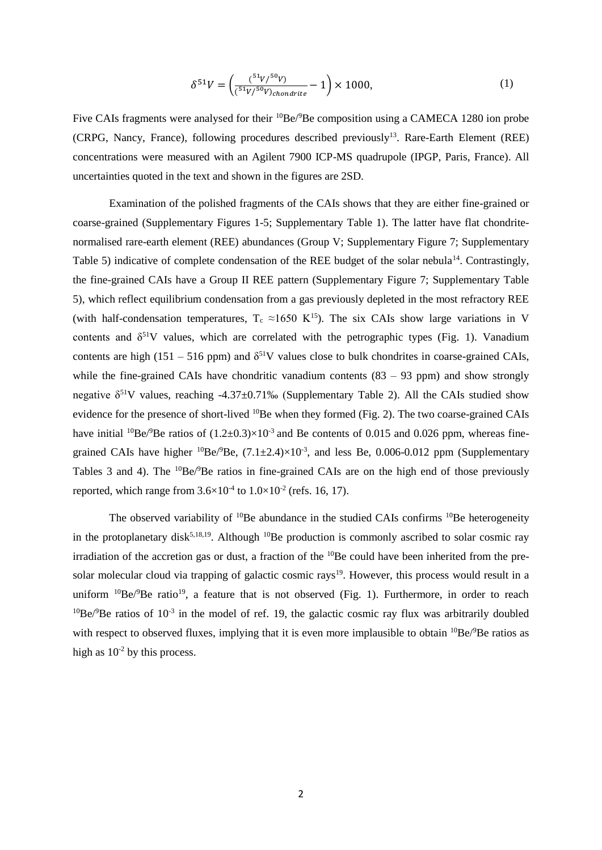$$
\delta^{51}V = \left(\frac{^{51}V/^{50}V}{^{51}V/^{50}V)_{chondrite}} - 1\right) \times 1000,\tag{1}
$$

Five CAIs fragments were analysed for their <sup>10</sup>Be/<sup>9</sup>Be composition using a CAMECA 1280 ion probe (CRPG, Nancy, France), following procedures described previously<sup>13</sup>. Rare-Earth Element (REE) concentrations were measured with an Agilent 7900 ICP-MS quadrupole (IPGP, Paris, France). All uncertainties quoted in the text and shown in the figures are 2SD.

Examination of the polished fragments of the CAIs shows that they are either fine-grained or coarse-grained (Supplementary Figures 1-5; Supplementary Table 1). The latter have flat chondritenormalised rare-earth element (REE) abundances (Group V; Supplementary Figure 7; Supplementary Table 5) indicative of complete condensation of the REE budget of the solar nebula<sup>14</sup>. Contrastingly, the fine-grained CAIs have a Group II REE pattern (Supplementary Figure 7; Supplementary Table 5), which reflect equilibrium condensation from a gas previously depleted in the most refractory REE (with half-condensation temperatures,  $T_c \approx 1650$  K<sup>15</sup>). The six CAIs show large variations in V contents and  $\delta^{51}V$  values, which are correlated with the petrographic types (Fig. 1). Vanadium contents are high (151 – 516 ppm) and  $\delta^{51}V$  values close to bulk chondrites in coarse-grained CAIs, while the fine-grained CAIs have chondritic vanadium contents  $(83 - 93$  ppm) and show strongly negative  $\delta^{51}$ V values, reaching -4.37±0.71‰ (Supplementary Table 2). All the CAIs studied show evidence for the presence of short-lived <sup>10</sup>Be when they formed (Fig. 2). The two coarse-grained CAIs have initial <sup>10</sup>Be/<sup>9</sup>Be ratios of  $(1.2\pm 0.3)\times 10^{-3}$  and Be contents of 0.015 and 0.026 ppm, whereas finegrained CAIs have higher  ${}^{10}Be/{}^{9}Be$ , (7.1 $\pm$ 2.4) $\times$ 10<sup>-3</sup>, and less Be, 0.006-0.012 ppm (Supplementary Tables 3 and 4). The  ${}^{10}Be/{}^{9}Be$  ratios in fine-grained CAIs are on the high end of those previously reported, which range from  $3.6 \times 10^{-4}$  to  $1.0 \times 10^{-2}$  (refs. 16, 17).

The observed variability of  $10Be$  abundance in the studied CAIs confirms  $10Be$  heterogeneity in the protoplanetary disk<sup>5,18,19</sup>. Although  $^{10}$ Be production is commonly ascribed to solar cosmic ray irradiation of the accretion gas or dust, a fraction of the  $10Be$  could have been inherited from the presolar molecular cloud via trapping of galactic cosmic rays<sup>19</sup>. However, this process would result in a uniform  $^{10}Be/^{9}Be$  ratio<sup>19</sup>, a feature that is not observed (Fig. 1). Furthermore, in order to reach  $10^{\circ}$ Be/ $\sigma$ Be ratios of  $10^{-3}$  in the model of ref. 19, the galactic cosmic ray flux was arbitrarily doubled with respect to observed fluxes, implying that it is even more implausible to obtain  ${}^{10}Be/{}^{9}Be$  ratios as high as  $10^{-2}$  by this process.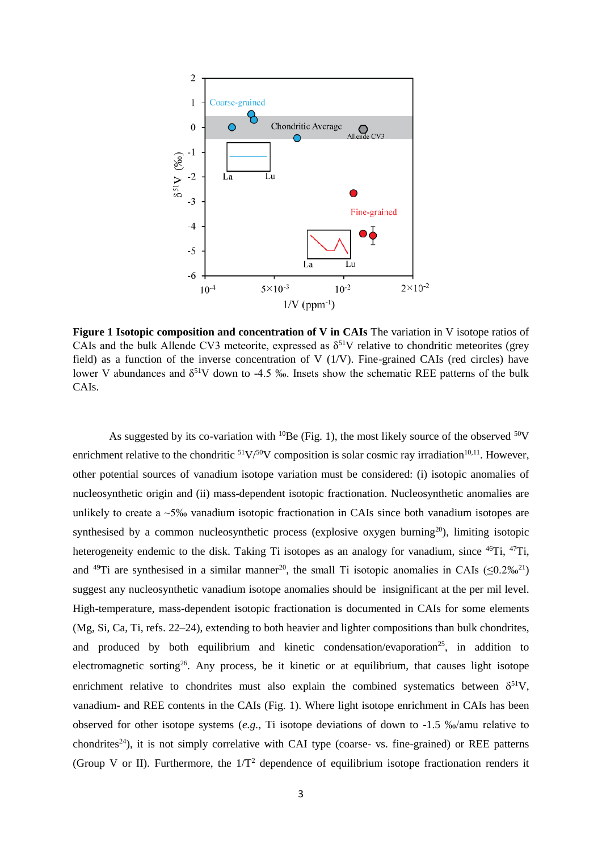

**Figure 1 Isotopic composition and concentration of V in CAIs** The variation in V isotope ratios of CAIs and the bulk Allende CV3 meteorite, expressed as  $\delta^{51}V$  relative to chondritic meteorites (grey field) as a function of the inverse concentration of V  $(1/V)$ . Fine-grained CAIs (red circles) have lower V abundances and  $\delta^{51}V$  down to -4.5 ‰. Insets show the schematic REE patterns of the bulk CAIs.

As suggested by its co-variation with <sup>10</sup>Be (Fig. 1), the most likely source of the observed <sup>50</sup>V enrichment relative to the chondritic  $51V/50V$  composition is solar cosmic ray irradiation<sup>10,11</sup>. However, other potential sources of vanadium isotope variation must be considered: (i) isotopic anomalies of nucleosynthetic origin and (ii) mass-dependent isotopic fractionation. Nucleosynthetic anomalies are unlikely to create a ~5‰ vanadium isotopic fractionation in CAIs since both vanadium isotopes are synthesised by a common nucleosynthetic process (explosive oxygen burning<sup>20</sup>), limiting isotopic heterogeneity endemic to the disk. Taking Ti isotopes as an analogy for vanadium, since <sup>46</sup>Ti, <sup>47</sup>Ti, and <sup>49</sup>Ti are synthesised in a similar manner<sup>20</sup>, the small Ti isotopic anomalies in CAIs ( $\leq 0.2\%$ <sup>21</sup>) suggest any nucleosynthetic vanadium isotope anomalies should be insignificant at the per mil level. High-temperature, mass-dependent isotopic fractionation is documented in CAIs for some elements (Mg, Si, Ca, Ti, refs. 22–24), extending to both heavier and lighter compositions than bulk chondrites, and produced by both equilibrium and kinetic condensation/evaporation<sup>25</sup>, in addition to electromagnetic sorting<sup>26</sup>. Any process, be it kinetic or at equilibrium, that causes light isotope enrichment relative to chondrites must also explain the combined systematics between  $\delta^{51}V$ , vanadium- and REE contents in the CAIs (Fig. 1). Where light isotope enrichment in CAIs has been observed for other isotope systems (*e.g.,* Ti isotope deviations of down to -1.5 ‰/amu relative to chondrites<sup>24</sup>), it is not simply correlative with CAI type (coarse- vs. fine-grained) or REE patterns (Group V or II). Furthermore, the  $1/T^2$  dependence of equilibrium isotope fractionation renders it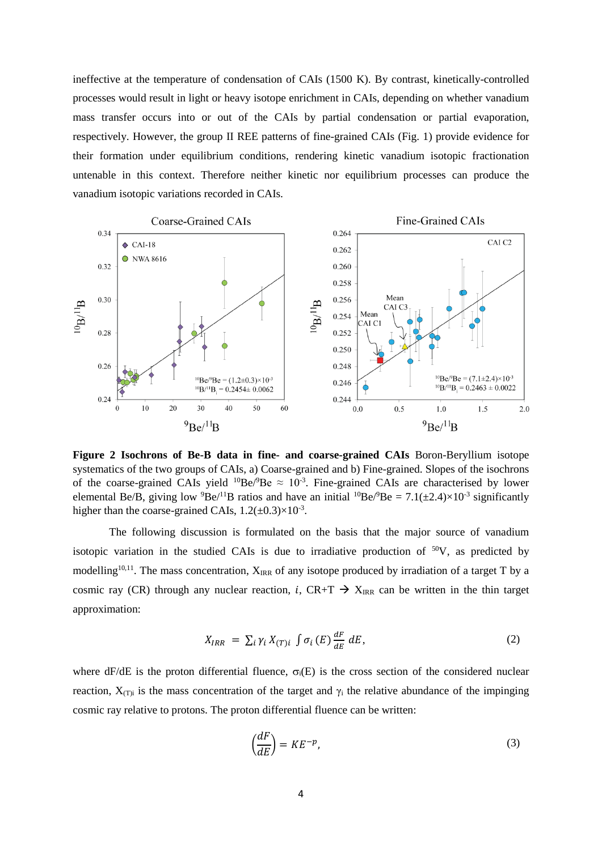ineffective at the temperature of condensation of CAIs (1500 K). By contrast, kinetically-controlled processes would result in light or heavy isotope enrichment in CAIs, depending on whether vanadium mass transfer occurs into or out of the CAIs by partial condensation or partial evaporation, respectively. However, the group II REE patterns of fine-grained CAIs (Fig. 1) provide evidence for their formation under equilibrium conditions, rendering kinetic vanadium isotopic fractionation untenable in this context. Therefore neither kinetic nor equilibrium processes can produce the vanadium isotopic variations recorded in CAIs.



**Figure 2 Isochrons of Be-B data in fine- and coarse-grained CAIs** Boron-Beryllium isotope systematics of the two groups of CAIs, a) Coarse-grained and b) Fine-grained. Slopes of the isochrons of the coarse-grained CAIs yield  ${}^{10}Be/{}^{9}Be \approx 10^{-3}$ . Fine-grained CAIs are characterised by lower elemental Be/B, giving low <sup>9</sup>Be/<sup>11</sup>B ratios and have an initial <sup>10</sup>Be/<sup>9</sup>Be = 7.1( $\pm$ 2.4)×10<sup>-3</sup> significantly higher than the coarse-grained CAIs,  $1.2(\pm 0.3) \times 10^{-3}$ .

The following discussion is formulated on the basis that the major source of vanadium isotopic variation in the studied CAIs is due to irradiative production of  $50V$ , as predicted by modelling<sup>10,11</sup>. The mass concentration,  $X_{\text{IRR}}$  of any isotope produced by irradiation of a target T by a cosmic ray (CR) through any nuclear reaction, i, CR+T  $\rightarrow$  X<sub>IRR</sub> can be written in the thin target approximation:

$$
X_{IRR} = \sum_{i} \gamma_{i} X_{(T)i} \int \sigma_{i} \left( E \right) \frac{dF}{dE} dE, \tag{2}
$$

where dF/dE is the proton differential fluence,  $\sigma_i(E)$  is the cross section of the considered nuclear reaction,  $X_{(T)i}$  is the mass concentration of the target and  $\gamma_i$  the relative abundance of the impinging cosmic ray relative to protons. The proton differential fluence can be written:

$$
\left(\frac{dF}{dE}\right) = KE^{-p},\tag{3}
$$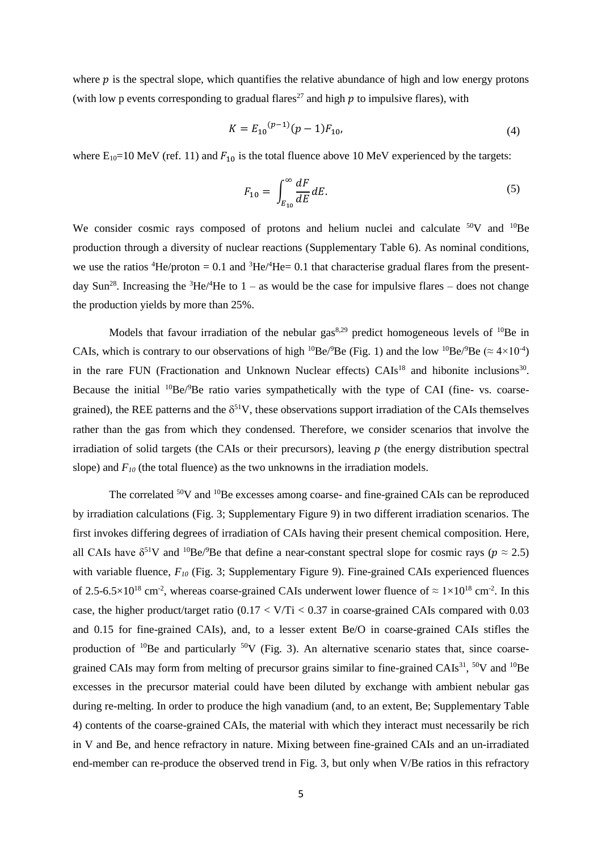where  $p$  is the spectral slope, which quantifies the relative abundance of high and low energy protons (with low p events corresponding to gradual flares<sup>27</sup> and high  $p$  to impulsive flares), with

$$
K = E_{10}^{(p-1)}(p-1)F_{10},\tag{4}
$$

where  $E_{10}=10$  MeV (ref. 11) and  $F_{10}$  is the total fluence above 10 MeV experienced by the targets:

$$
F_{10} = \int_{E_{10}}^{\infty} \frac{dF}{dE} dE.
$$
\n<sup>(5)</sup>

We consider cosmic rays composed of protons and helium nuclei and calculate <sup>50</sup>V and <sup>10</sup>Be production through a diversity of nuclear reactions (Supplementary Table 6). As nominal conditions, we use the ratios  ${}^{4}\text{He/proton} = 0.1$  and  ${}^{3}\text{He/}{}^{4}\text{He} = 0.1$  that characterise gradual flares from the presentday Sun<sup>28</sup>. Increasing the <sup>3</sup>He/<sup>4</sup>He to 1 – as would be the case for impulsive flares – does not change the production yields by more than 25%.

Models that favour irradiation of the nebular gas<sup>8,29</sup> predict homogeneous levels of  $^{10}$ Be in CAIs, which is contrary to our observations of high <sup>10</sup>Be/<sup>9</sup>Be (Fig. 1) and the low <sup>10</sup>Be/<sup>9</sup>Be ( $\approx 4 \times 10^{-4}$ ) in the rare FUN (Fractionation and Unknown Nuclear effects) CAIs<sup>18</sup> and hibonite inclusions<sup>30</sup>. Because the initial  ${}^{10}Be/{}^{9}Be$  ratio varies sympathetically with the type of CAI (fine- vs. coarsegrained), the REE patterns and the  $\delta^{51}V$ , these observations support irradiation of the CAIs themselves rather than the gas from which they condensed. Therefore, we consider scenarios that involve the irradiation of solid targets (the CAIs or their precursors), leaving *p* (the energy distribution spectral slope) and  $F_{10}$  (the total fluence) as the two unknowns in the irradiation models.

The correlated <sup>50</sup>V and <sup>10</sup>Be excesses among coarse- and fine-grained CAIs can be reproduced by irradiation calculations (Fig. 3; Supplementary Figure 9) in two different irradiation scenarios. The first invokes differing degrees of irradiation of CAIs having their present chemical composition. Here, all CAIs have  $\delta^{51}V$  and  $^{10}Be/^{9}Be$  that define a near-constant spectral slope for cosmic rays ( $p \approx 2.5$ ) with variable fluence,  $F_{10}$  (Fig. 3; Supplementary Figure 9). Fine-grained CAIs experienced fluences of 2.5-6.5×10<sup>18</sup> cm<sup>-2</sup>, whereas coarse-grained CAIs underwent lower fluence of  $\approx 1 \times 10^{18}$  cm<sup>-2</sup>. In this case, the higher product/target ratio  $(0.17 \times V/Ti \times 0.37)$  in coarse-grained CAIs compared with 0.03 and 0.15 for fine-grained CAIs), and, to a lesser extent Be/O in coarse-grained CAIs stifles the production of  $^{10}$ Be and particularly  $^{50}V$  (Fig. 3). An alternative scenario states that, since coarsegrained CAIs may form from melting of precursor grains similar to fine-grained CAIs<sup>31</sup>, <sup>50</sup>V and <sup>10</sup>Be excesses in the precursor material could have been diluted by exchange with ambient nebular gas during re-melting. In order to produce the high vanadium (and, to an extent, Be; Supplementary Table 4) contents of the coarse-grained CAIs, the material with which they interact must necessarily be rich in V and Be, and hence refractory in nature. Mixing between fine-grained CAIs and an un-irradiated end-member can re-produce the observed trend in Fig. 3, but only when V/Be ratios in this refractory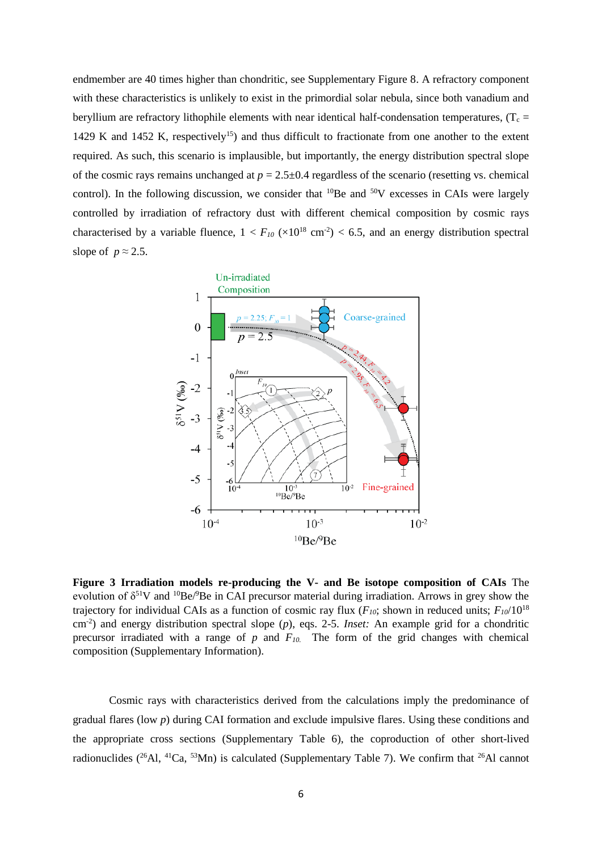endmember are 40 times higher than chondritic, see Supplementary Figure 8. A refractory component with these characteristics is unlikely to exist in the primordial solar nebula, since both vanadium and beryllium are refractory lithophile elements with near identical half-condensation temperatures, ( $T_c$  = 1429 K and 1452 K, respectively<sup>15</sup>) and thus difficult to fractionate from one another to the extent required. As such, this scenario is implausible, but importantly, the energy distribution spectral slope of the cosmic rays remains unchanged at  $p = 2.5 \pm 0.4$  regardless of the scenario (resetting vs. chemical control). In the following discussion, we consider that  ${}^{10}Be$  and  ${}^{50}V$  excesses in CAIs were largely controlled by irradiation of refractory dust with different chemical composition by cosmic rays characterised by a variable fluence,  $1 < F_{10}$  ( $\times 10^{18}$  cm<sup>-2</sup>) < 6.5, and an energy distribution spectral slope of  $p \approx 2.5$ .



**Figure 3 Irradiation models re-producing the V- and Be isotope composition of CAIs** The evolution of  $\delta^{51}V$  and  $^{10}Be/^{9}Be$  in CAI precursor material during irradiation. Arrows in grey show the trajectory for individual CAIs as a function of cosmic ray flux ( $F_{10}$ ; shown in reduced units;  $F_{10}/10^{18}$ cm-2 ) and energy distribution spectral slope (*p*), eqs. 2-5. *Inset:* An example grid for a chondritic precursor irradiated with a range of  $p$  and  $F_{10}$ . The form of the grid changes with chemical composition (Supplementary Information).

Cosmic rays with characteristics derived from the calculations imply the predominance of gradual flares (low *p*) during CAI formation and exclude impulsive flares. Using these conditions and the appropriate cross sections (Supplementary Table 6), the coproduction of other short-lived radionuclides ( $^{26}$ Al,  $^{41}$ Ca,  $^{53}$ Mn) is calculated (Supplementary Table 7). We confirm that  $^{26}$ Al cannot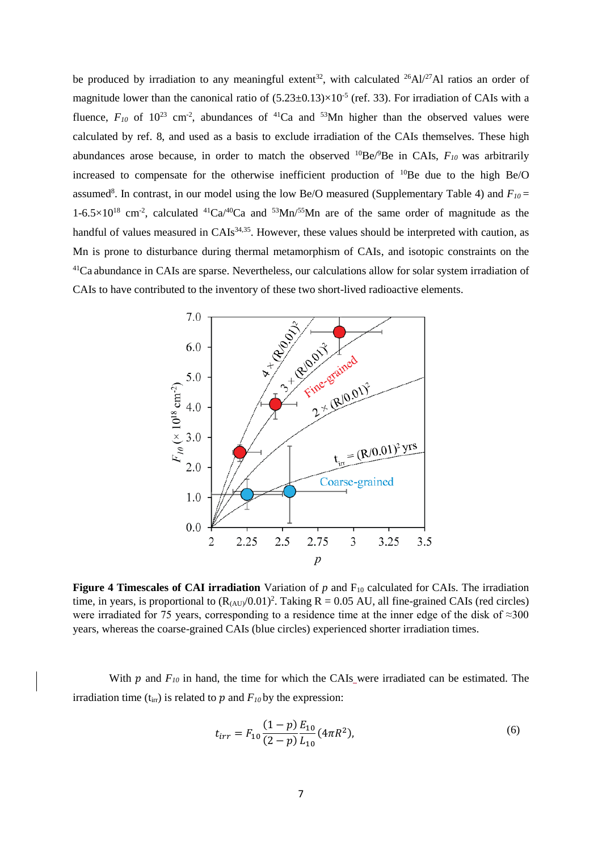be produced by irradiation to any meaningful extent<sup>32</sup>, with calculated <sup>26</sup>Al/<sup>27</sup>Al ratios an order of magnitude lower than the canonical ratio of  $(5.23 \pm 0.13) \times 10^{-5}$  (ref. 33). For irradiation of CAIs with a fluence,  $F_{10}$  of  $10^{23}$  cm<sup>-2</sup>, abundances of <sup>41</sup>Ca and <sup>53</sup>Mn higher than the observed values were calculated by ref. 8, and used as a basis to exclude irradiation of the CAIs themselves. These high abundances arose because, in order to match the observed <sup>10</sup>Be/ $^9$ Be in CAIs,  $F_{10}$  was arbitrarily increased to compensate for the otherwise inefficient production of  $^{10}$ Be due to the high Be/O assumed<sup>8</sup>. In contrast, in our model using the low Be/O measured (Supplementary Table 4) and  $F_{10}$  =  $1-6.5\times10^{18}$  cm<sup>-2</sup>, calculated  $^{41}Ca/^{40}Ca$  and  $^{53}Mn/^{55}Mn$  are of the same order of magnitude as the handful of values measured in CAIs<sup>34,35</sup>. However, these values should be interpreted with caution, as Mn is prone to disturbance during thermal metamorphism of CAIs, and isotopic constraints on the <sup>41</sup>Ca abundance in CAIs are sparse. Nevertheless, our calculations allow for solar system irradiation of CAIs to have contributed to the inventory of these two short-lived radioactive elements.



**Figure 4 Timescales of CAI irradiation** Variation of  $p$  and  $F_{10}$  calculated for CAIs. The irradiation time, in years, is proportional to  $(R_{(AU)}/0.01)^2$ . Taking  $R = 0.05$  AU, all fine-grained CAIs (red circles) were irradiated for 75 years, corresponding to a residence time at the inner edge of the disk of ≈300 years, whereas the coarse-grained CAIs (blue circles) experienced shorter irradiation times.

With  $p$  and  $F_{10}$  in hand, the time for which the CAIs were irradiated can be estimated. The irradiation time ( $t_{irr}$ ) is related to  $p$  and  $F_{10}$  by the expression:

$$
t_{irr} = F_{10} \frac{(1-p) E_{10}}{(2-p) L_{10}} (4\pi R^2),
$$
\n(6)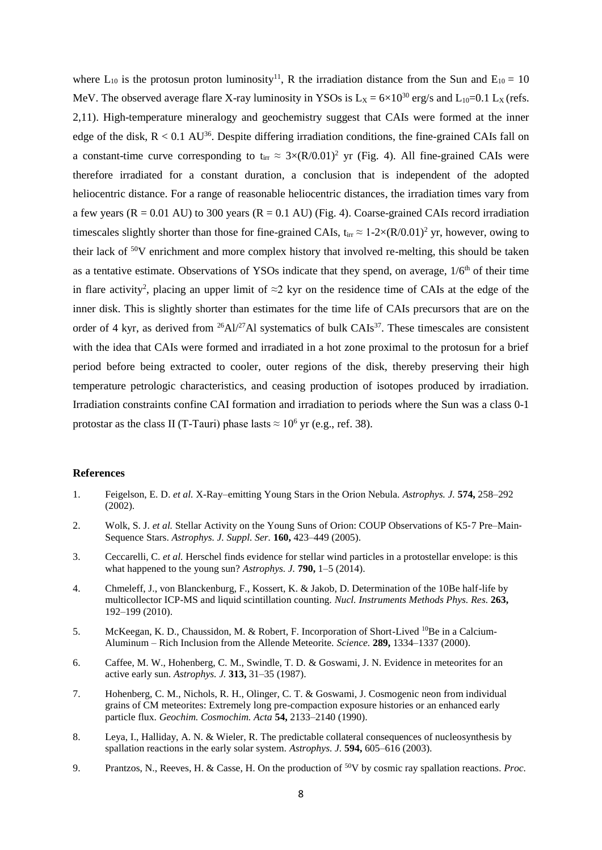where  $L_{10}$  is the protosun proton luminosity<sup>11</sup>, R the irradiation distance from the Sun and  $E_{10} = 10$ MeV. The observed average flare X-ray luminosity in YSOs is  $L_x = 6 \times 10^{30}$  erg/s and  $L_{10} = 0.1$   $L_x$  (refs. 2,11). High-temperature mineralogy and geochemistry suggest that CAIs were formed at the inner edge of the disk,  $R < 0.1$  AU<sup>36</sup>. Despite differing irradiation conditions, the fine-grained CAIs fall on a constant-time curve corresponding to  $t_{irr} \approx 3 \times (R/0.01)^2$  yr (Fig. 4). All fine-grained CAIs were therefore irradiated for a constant duration, a conclusion that is independent of the adopted heliocentric distance. For a range of reasonable heliocentric distances, the irradiation times vary from a few years ( $R = 0.01$  AU) to 300 years ( $R = 0.1$  AU) (Fig. 4). Coarse-grained CAIs record irradiation timescales slightly shorter than those for fine-grained CAIs,  $t_{irr} \approx 1-2 \times (R/0.01)^2$  yr, however, owing to their lack of  $50V$  enrichment and more complex history that involved re-melting, this should be taken as a tentative estimate. Observations of YSOs indicate that they spend, on average,  $1/6<sup>th</sup>$  of their time in flare activity<sup>2</sup>, placing an upper limit of  $\approx$ 2 kyr on the residence time of CAIs at the edge of the inner disk. This is slightly shorter than estimates for the time life of CAIs precursors that are on the order of 4 kyr, as derived from  $^{26}$ Al/<sup>27</sup>Al systematics of bulk CAIs<sup>37</sup>. These timescales are consistent with the idea that CAIs were formed and irradiated in a hot zone proximal to the protosun for a brief period before being extracted to cooler, outer regions of the disk, thereby preserving their high temperature petrologic characteristics, and ceasing production of isotopes produced by irradiation. Irradiation constraints confine CAI formation and irradiation to periods where the Sun was a class 0-1 protostar as the class II (T-Tauri) phase lasts  $\approx 10^6$  yr (e.g., ref. 38).

## **References**

- 1. Feigelson, E. D. *et al.* X-Ray–emitting Young Stars in the Orion Nebula. *Astrophys. J.* **574,** 258–292 (2002).
- 2. Wolk, S. J. *et al.* Stellar Activity on the Young Suns of Orion: COUP Observations of K5‐7 Pre–Main‐ Sequence Stars. *Astrophys. J. Suppl. Ser.* **160,** 423–449 (2005).
- 3. Ceccarelli, C. *et al.* Herschel finds evidence for stellar wind particles in a protostellar envelope: is this what happened to the young sun? *Astrophys. J.* **790,** 1–5 (2014).
- 4. Chmeleff, J., von Blanckenburg, F., Kossert, K. & Jakob, D. Determination of the 10Be half-life by multicollector ICP-MS and liquid scintillation counting. *Nucl. Instruments Methods Phys. Res.* **263,** 192–199 (2010).
- 5. McKeegan, K. D., Chaussidon, M. & Robert, F. Incorporation of Short-Lived <sup>10</sup>Be in a Calcium-Aluminum – Rich Inclusion from the Allende Meteorite. *Science.* **289,** 1334–1337 (2000).
- 6. Caffee, M. W., Hohenberg, C. M., Swindle, T. D. & Goswami, J. N. Evidence in meteorites for an active early sun. *Astrophys. J.* **313,** 31–35 (1987).
- 7. Hohenberg, C. M., Nichols, R. H., Olinger, C. T. & Goswami, J. Cosmogenic neon from individual grains of CM meteorites: Extremely long pre-compaction exposure histories or an enhanced early particle flux. *Geochim. Cosmochim. Acta* **54,** 2133–2140 (1990).
- 8. Leya, I., Halliday, A. N. & Wieler, R. The predictable collateral consequences of nucleosynthesis by spallation reactions in the early solar system. *Astrophys. J.* **594,** 605–616 (2003).
- 9. Prantzos, N., Reeves, H. & Casse, H. On the production of <sup>50</sup>V by cosmic ray spallation reactions. *Proc.*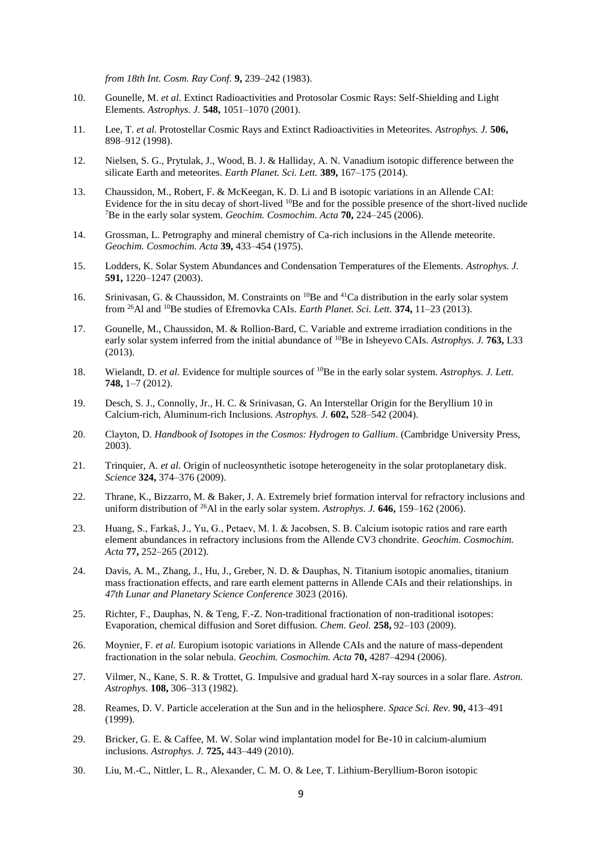*from 18th Int. Cosm. Ray Conf.* **9,** 239–242 (1983).

- 10. Gounelle, M. *et al.* Extinct Radioactivities and Protosolar Cosmic Rays: Self-Shielding and Light Elements. *Astrophys. J.* **548,** 1051–1070 (2001).
- 11. Lee, T. *et al.* Protostellar Cosmic Rays and Extinct Radioactivities in Meteorites. *Astrophys. J.* **506,** 898–912 (1998).
- 12. Nielsen, S. G., Prytulak, J., Wood, B. J. & Halliday, A. N. Vanadium isotopic difference between the silicate Earth and meteorites. *Earth Planet. Sci. Lett.* **389,** 167–175 (2014).
- 13. Chaussidon, M., Robert, F. & McKeegan, K. D. Li and B isotopic variations in an Allende CAI: Evidence for the in situ decay of short-lived <sup>10</sup>Be and for the possible presence of the short-lived nuclide <sup>7</sup>Be in the early solar system. *Geochim. Cosmochim. Acta* **70,** 224–245 (2006).
- 14. Grossman, L. Petrography and mineral chemistry of Ca-rich inclusions in the Allende meteorite. *Geochim. Cosmochim. Acta* **39,** 433–454 (1975).
- 15. Lodders, K. Solar System Abundances and Condensation Temperatures of the Elements. *Astrophys. J.* **591,** 1220–1247 (2003).
- 16. Srinivasan, G. & Chaussidon, M. Constraints on <sup>10</sup>Be and <sup>41</sup>Ca distribution in the early solar system from <sup>26</sup>Al and <sup>10</sup>Be studies of Efremovka CAIs. *Earth Planet. Sci. Lett.* **374,** 11–23 (2013).
- 17. Gounelle, M., Chaussidon, M. & Rollion-Bard, C. Variable and extreme irradiation conditions in the early solar system inferred from the initial abundance of <sup>10</sup>Be in Isheyevo CAIs. *Astrophys. J.* **763,** L33 (2013).
- 18. Wielandt, D. *et al.* Evidence for multiple sources of <sup>10</sup>Be in the early solar system. *Astrophys. J. Lett.* **748,** 1–7 (2012).
- 19. Desch, S. J., Connolly, Jr., H. C. & Srinivasan, G. An Interstellar Origin for the Beryllium 10 in Calcium-rich, Aluminum-rich Inclusions. *Astrophys. J.* **602,** 528–542 (2004).
- 20. Clayton, D. *Handbook of Isotopes in the Cosmos: Hydrogen to Gallium*. (Cambridge University Press, 2003).
- 21. Trinquier, A. *et al.* Origin of nucleosynthetic isotope heterogeneity in the solar protoplanetary disk. *Science* **324,** 374–376 (2009).
- 22. Thrane, K., Bizzarro, M. & Baker, J. A. Extremely brief formation interval for refractory inclusions and uniform distribution of <sup>26</sup>Al in the early solar system. *Astrophys. J.* **646,** 159–162 (2006).
- 23. Huang, S., Farkaš, J., Yu, G., Petaev, M. I. & Jacobsen, S. B. Calcium isotopic ratios and rare earth element abundances in refractory inclusions from the Allende CV3 chondrite. *Geochim. Cosmochim. Acta* **77,** 252–265 (2012).
- 24. Davis, A. M., Zhang, J., Hu, J., Greber, N. D. & Dauphas, N. Titanium isotopic anomalies, titanium mass fractionation effects, and rare earth element patterns in Allende CAIs and their relationships. in *47th Lunar and Planetary Science Conference* 3023 (2016).
- 25. Richter, F., Dauphas, N. & Teng, F.-Z. Non-traditional fractionation of non-traditional isotopes: Evaporation, chemical diffusion and Soret diffusion. *Chem. Geol.* **258,** 92–103 (2009).
- 26. Moynier, F. *et al.* Europium isotopic variations in Allende CAIs and the nature of mass-dependent fractionation in the solar nebula. *Geochim. Cosmochim. Acta* **70,** 4287–4294 (2006).
- 27. Vilmer, N., Kane, S. R. & Trottet, G. Impulsive and gradual hard X-ray sources in a solar flare. *Astron. Astrophys.* **108,** 306–313 (1982).
- 28. Reames, D. V. Particle acceleration at the Sun and in the heliosphere. *Space Sci. Rev.* **90,** 413–491 (1999).
- 29. Bricker, G. E. & Caffee, M. W. Solar wind implantation model for Be-10 in calcium-alumium inclusions. *Astrophys. J.* **725,** 443–449 (2010).
- 30. Liu, M.-C., Nittler, L. R., Alexander, C. M. O. & Lee, T. Lithium-Beryllium-Boron isotopic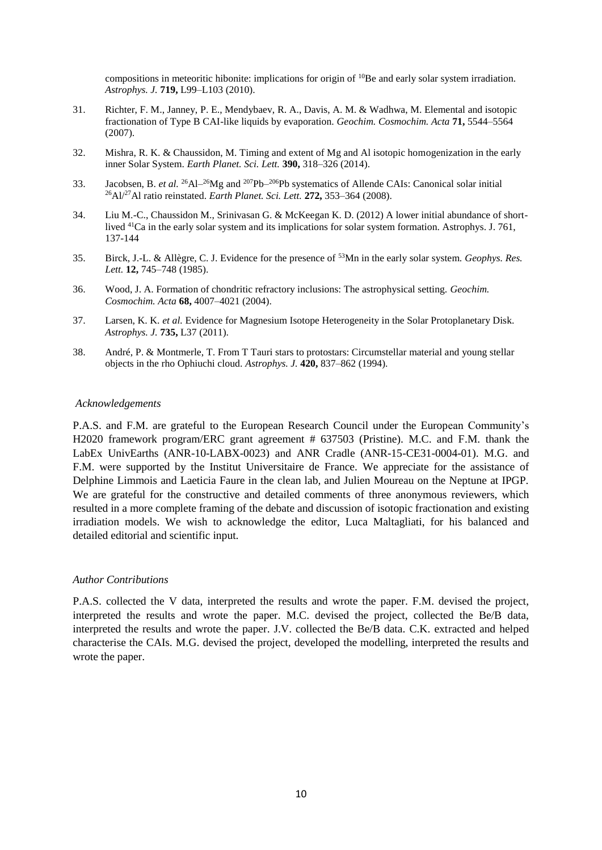compositions in meteoritic hibonite: implications for origin of <sup>10</sup>Be and early solar system irradiation. *Astrophys. J.* **719,** L99–L103 (2010).

- 31. Richter, F. M., Janney, P. E., Mendybaev, R. A., Davis, A. M. & Wadhwa, M. Elemental and isotopic fractionation of Type B CAI-like liquids by evaporation. *Geochim. Cosmochim. Acta* **71,** 5544–5564 (2007).
- 32. Mishra, R. K. & Chaussidon, M. Timing and extent of Mg and Al isotopic homogenization in the early inner Solar System. *Earth Planet. Sci. Lett.* **390,** 318–326 (2014).
- 33. Jacobsen, B. *et al.* <sup>26</sup>Al<sup>-26</sup>Mg and <sup>207</sup>Pb<sup>-206</sup>Pb systematics of Allende CAIs: Canonical solar initial <sup>26</sup>Al/<sup>27</sup>Al ratio reinstated. *Earth Planet. Sci. Lett.* **272,** 353–364 (2008).
- 34. Liu M.-C., Chaussidon M., Srinivasan G. & McKeegan K. D. (2012) A lower initial abundance of shortlived <sup>41</sup>Ca in the early solar system and its implications for solar system formation. Astrophys. J. 761, 137-144
- 35. Birck, J.-L. & Allègre, C. J. Evidence for the presence of <sup>53</sup>Mn in the early solar system. *Geophys. Res. Lett.* **12,** 745–748 (1985).
- 36. Wood, J. A. Formation of chondritic refractory inclusions: The astrophysical setting. *Geochim. Cosmochim. Acta* **68,** 4007–4021 (2004).
- 37. Larsen, K. K. *et al.* Evidence for Magnesium Isotope Heterogeneity in the Solar Protoplanetary Disk. *Astrophys. J.* **735,** L37 (2011).
- 38. André, P. & Montmerle, T. From T Tauri stars to protostars: Circumstellar material and young stellar objects in the rho Ophiuchi cloud. *Astrophys. J.* **420,** 837–862 (1994).

## *Acknowledgements*

P.A.S. and F.M. are grateful to the European Research Council under the European Community's H2020 framework program/ERC grant agreement # 637503 (Pristine). M.C. and F.M. thank the LabEx UnivEarths (ANR-10-LABX-0023) and ANR Cradle (ANR-15-CE31-0004-01). M.G. and F.M. were supported by the Institut Universitaire de France. We appreciate for the assistance of Delphine Limmois and Laeticia Faure in the clean lab, and Julien Moureau on the Neptune at IPGP. We are grateful for the constructive and detailed comments of three anonymous reviewers, which resulted in a more complete framing of the debate and discussion of isotopic fractionation and existing irradiation models. We wish to acknowledge the editor, Luca Maltagliati, for his balanced and detailed editorial and scientific input.

## *Author Contributions*

P.A.S. collected the V data, interpreted the results and wrote the paper. F.M. devised the project, interpreted the results and wrote the paper. M.C. devised the project, collected the Be/B data, interpreted the results and wrote the paper. J.V. collected the Be/B data. C.K. extracted and helped characterise the CAIs. M.G. devised the project, developed the modelling, interpreted the results and wrote the paper.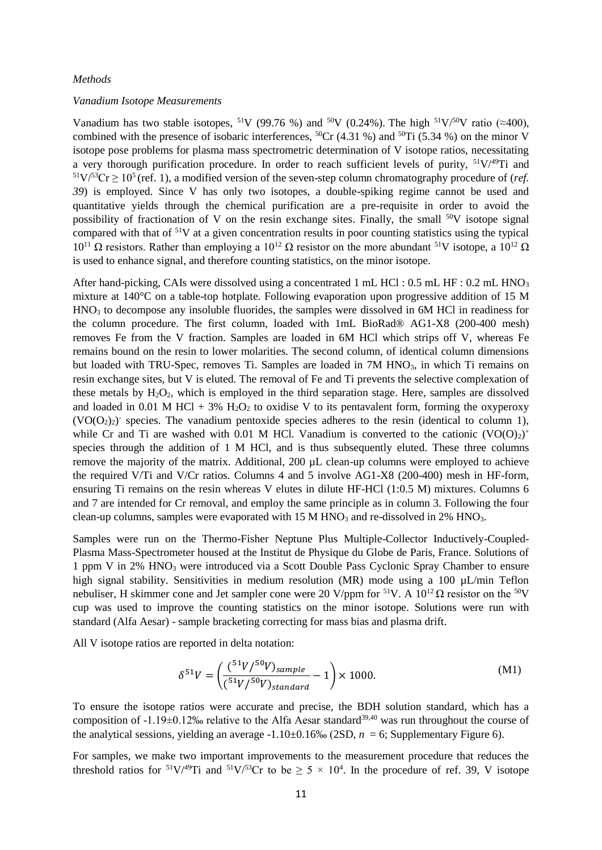#### *Methods*

## *Vanadium Isotope Measurements*

Vanadium has two stable isotopes, <sup>51</sup>V (99.76 %) and <sup>50</sup>V (0.24%). The high <sup>51</sup>V/<sup>50</sup>V ratio (≈400), combined with the presence of isobaric interferences,  ${}^{50}Cr$  (4.31 %) and  ${}^{50}Ti$  (5.34 %) on the minor V isotope pose problems for plasma mass spectrometric determination of V isotope ratios, necessitating a very thorough purification procedure. In order to reach sufficient levels of purity,  $51\frac{V}{49}Ti$  and  $51\text{V}/53\text{Cr} \geq 10^5$  (ref. 1), a modified version of the seven-step column chromatography procedure of (*ref. 39*) is employed. Since V has only two isotopes, a double-spiking regime cannot be used and quantitative yields through the chemical purification are a pre-requisite in order to avoid the possibility of fractionation of V on the resin exchange sites. Finally, the small  $50V$  isotope signal compared with that of <sup>51</sup>V at a given concentration results in poor counting statistics using the typical  $10^{11}$  Ω resistors. Rather than employing a  $10^{12}$  Ω resistor on the more abundant <sup>51</sup>V isotope, a  $10^{12}$  Ω is used to enhance signal, and therefore counting statistics, on the minor isotope.

After hand-picking, CAIs were dissolved using a concentrated 1 mL HCl : 0.5 mL HF : 0.2 mL HNO<sub>3</sub> mixture at 140°C on a table-top hotplate. Following evaporation upon progressive addition of 15 M HNO<sup>3</sup> to decompose any insoluble fluorides, the samples were dissolved in 6M HCl in readiness for the column procedure. The first column, loaded with 1mL BioRad® AG1-X8 (200-400 mesh) removes Fe from the V fraction. Samples are loaded in 6M HCl which strips off V, whereas Fe remains bound on the resin to lower molarities. The second column, of identical column dimensions but loaded with TRU-Spec, removes Ti. Samples are loaded in 7M HNO<sub>3</sub>, in which Ti remains on resin exchange sites, but V is eluted. The removal of Fe and Ti prevents the selective complexation of these metals by  $H_2O_2$ , which is employed in the third separation stage. Here, samples are dissolved and loaded in 0.01 M HCl + 3%  $H_2O_2$  to oxidise V to its pentavalent form, forming the oxyperoxy  $(VO(O<sub>2</sub>)<sub>2</sub>)$  species. The vanadium pentoxide species adheres to the resin (identical to column 1), while Cr and Ti are washed with 0.01 M HCl. Vanadium is converted to the cationic  $(VO(O)<sub>2</sub>)$ <sup>+</sup> species through the addition of 1 M HCl, and is thus subsequently eluted. These three columns remove the majority of the matrix. Additional, 200 µL clean-up columns were employed to achieve the required V/Ti and V/Cr ratios. Columns 4 and 5 involve AG1-X8 (200-400) mesh in HF-form, ensuring Ti remains on the resin whereas V elutes in dilute HF-HCl (1:0.5 M) mixtures. Columns 6 and 7 are intended for Cr removal, and employ the same principle as in column 3. Following the four clean-up columns, samples were evaporated with  $15 M HNO<sub>3</sub>$  and re-dissolved in  $2\% HNO<sub>3</sub>$ .

Samples were run on the Thermo-Fisher Neptune Plus Multiple-Collector Inductively-Coupled-Plasma Mass-Spectrometer housed at the Institut de Physique du Globe de Paris, France. Solutions of 1 ppm V in 2% HNO<sup>3</sup> were introduced via a Scott Double Pass Cyclonic Spray Chamber to ensure high signal stability. Sensitivities in medium resolution (MR) mode using a 100 µL/min Teflon nebuliser, H skimmer cone and Jet sampler cone were 20 V/ppm for <sup>51</sup>V. A  $10^{12}$  Ω resistor on the <sup>50</sup>V cup was used to improve the counting statistics on the minor isotope. Solutions were run with standard (Alfa Aesar) - sample bracketing correcting for mass bias and plasma drift.

All V isotope ratios are reported in delta notation:

$$
\delta^{51}V = \left(\frac{(^{51}V/^{50}V)_{sample}}{(^{51}V/^{50}V)_{standard}} - 1\right) \times 1000.
$$
 (M1)

To ensure the isotope ratios were accurate and precise, the BDH solution standard, which has a composition of  $-1.19\pm0.12\%$  relative to the Alfa Aesar standard<sup>39,40</sup> was run throughout the course of the analytical sessions, yielding an average  $-1.10\pm0.16\%$  (2SD,  $n = 6$ ; Supplementary Figure 6).

For samples, we make two important improvements to the measurement procedure that reduces the threshold ratios for <sup>51</sup>V/<sup>49</sup>Ti and <sup>51</sup>V/<sup>53</sup>Cr to be  $\geq$  5  $\times$  10<sup>4</sup>. In the procedure of ref. 39, V isotope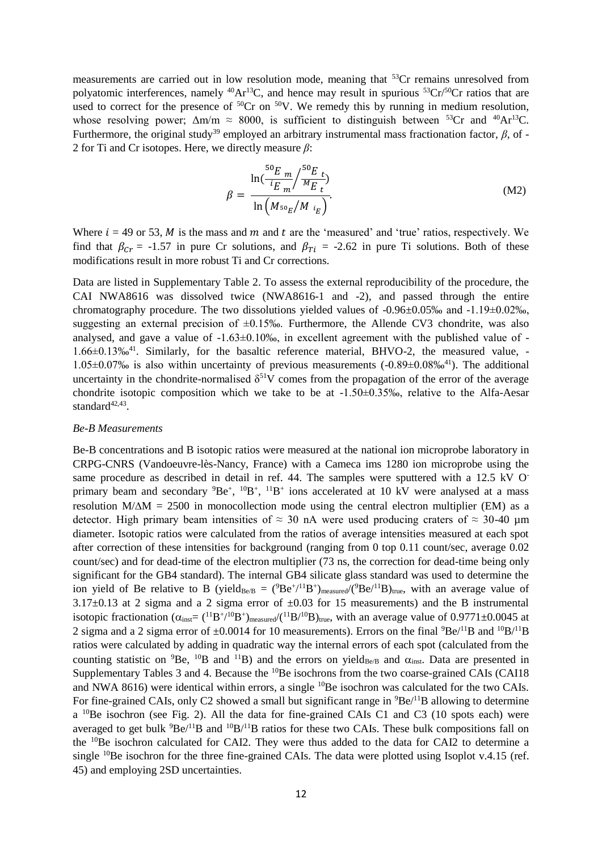measurements are carried out in low resolution mode, meaning that <sup>53</sup>Cr remains unresolved from polyatomic interferences, namely <sup>40</sup>Ar<sup>13</sup>C, and hence may result in spurious <sup>53</sup>Cr/<sup>50</sup>Cr ratios that are used to correct for the presence of  ${}^{50}Cr$  on  ${}^{50}V$ . We remedy this by running in medium resolution, whose resolving power;  $\Delta m/m \approx 8000$ , is sufficient to distinguish between <sup>53</sup>Cr and <sup>40</sup>Ar<sup>13</sup>C. Furthermore, the original study<sup>39</sup> employed an arbitrary instrumental mass fractionation factor, *β*, of -2 for Ti and Cr isotopes. Here, we directly measure *β*:

$$
\beta = \frac{\ln(\frac{50_E}{i_E_m}/\frac{50_E}{M_{E_t}})}{\ln(M_{50_E}/M_{i_E})}.
$$
\n(M2)

Where  $i = 49$  or 53, M is the mass and m and t are the 'measured' and 'true' ratios, respectively. We find that  $\beta_{cr}$  = -1.57 in pure Cr solutions, and  $\beta_{Ti}$  = -2.62 in pure Ti solutions. Both of these modifications result in more robust Ti and Cr corrections.

Data are listed in Supplementary Table 2. To assess the external reproducibility of the procedure, the CAI NWA8616 was dissolved twice (NWA8616-1 and -2), and passed through the entire chromatography procedure. The two dissolutions yielded values of  $-0.96\pm0.05\%$  and  $-1.19\pm0.02\%$ , suggesting an external precision of  $\pm 0.15\%$ . Furthermore, the Allende CV3 chondrite, was also analysed, and gave a value of  $-1.63\pm0.10\%$ , in excellent agreement with the published value of  $-$ 1.66±0.13‰<sup>41</sup> . Similarly, for the basaltic reference material, BHVO-2, the measured value, - 1.05±0.07‰ is also within uncertainty of previous measurements (-0.89±0.08‰<sup>41</sup> ). The additional uncertainty in the chondrite-normalised  $\delta^{51}V$  comes from the propagation of the error of the average chondrite isotopic composition which we take to be at  $-1.50\pm0.35\%$ , relative to the Alfa-Aesar standard<sup>42,43</sup>.

## *Be-B Measurements*

Be-B concentrations and B isotopic ratios were measured at the national ion microprobe laboratory in CRPG-CNRS (Vandoeuvre-lès-Nancy, France) with a Cameca ims 1280 ion microprobe using the same procedure as described in detail in ref. 44. The samples were sputtered with a 12.5 kV Oprimary beam and secondary  ${}^{9}Be^+$ ,  ${}^{10}B^+$ ,  ${}^{11}B^+$  ions accelerated at 10 kV were analysed at a mass resolution  $M/\Delta M = 2500$  in monocollection mode using the central electron multiplier (EM) as a detector. High primary beam intensities of  $\approx 30$  nA were used producing craters of  $\approx 30{\text -}40$  µm diameter. Isotopic ratios were calculated from the ratios of average intensities measured at each spot after correction of these intensities for background (ranging from 0 top 0.11 count/sec, average 0.02 count/sec) and for dead-time of the electron multiplier (73 ns, the correction for dead-time being only significant for the GB4 standard). The internal GB4 silicate glass standard was used to determine the ion yield of Be relative to B (yield<sub>Be/B</sub> =  $(^9$ Be<sup>+</sup>/<sup>11</sup>B<sup>+</sup>)<sub>measured</sub>/ $(^9$ Be/<sup>11</sup>B)<sub>true</sub>, with an average value of 3.17 $\pm$ 0.13 at 2 sigma and a 2 sigma error of  $\pm$ 0.03 for 15 measurements) and the B instrumental isotopic fractionation  $(\alpha_{inst} = {^{11}B^+}/{^{10}B^+})_{measured}/({^{11}B}/{^{10}B})_{true}$ , with an average value of 0.9771±0.0045 at 2 sigma and a 2 sigma error of  $\pm 0.0014$  for 10 measurements). Errors on the final  $^{9}Be/^{11}B$  and  $^{10}B/^{11}B$ ratios were calculated by adding in quadratic way the internal errors of each spot (calculated from the counting statistic on <sup>9</sup>Be, <sup>10</sup>B and <sup>11</sup>B) and the errors on yield<sub>Be/B</sub> and  $\alpha_{inst}$ . Data are presented in Supplementary Tables 3 and 4. Because the <sup>10</sup>Be isochrons from the two coarse-grained CAIs (CAI18) and NWA 8616) were identical within errors, a single <sup>10</sup>Be isochron was calculated for the two CAIs. For fine-grained CAIs, only C2 showed a small but significant range in  ${}^{9}Be/{}^{11}B$  allowing to determine a <sup>10</sup>Be isochron (see Fig. 2). All the data for fine-grained CAIs C1 and C3 (10 spots each) were averaged to get bulk  ${}^{9}Be/{}^{11}B$  and  ${}^{10}B/{}^{11}B$  ratios for these two CAIs. These bulk compositions fall on the <sup>10</sup>Be isochron calculated for CAI2. They were thus added to the data for CAI2 to determine a single <sup>10</sup>Be isochron for the three fine-grained CAIs. The data were plotted using Isoplot v.4.15 (ref. 45) and employing 2SD uncertainties.